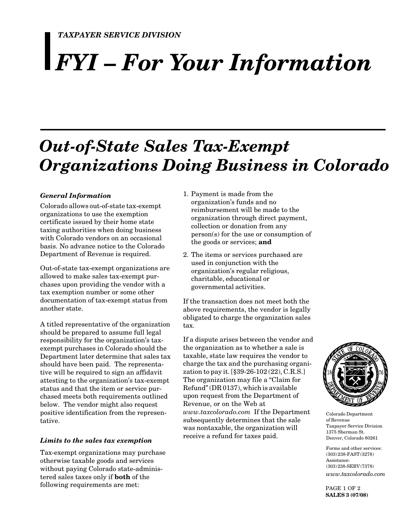# *FYI – For Your Information*

# *Out-of-State Sales Tax-Exempt Organizations Doing Business in Colorado*

## *General Information*

Colorado allows out-of-state tax-exempt organizations to use the exemption certificate issued by their home state taxing authorities when doing business with Colorado vendors on an occasional basis. No advance notice to the Colorado Department of Revenue is required.

Out-of-state tax-exempt organizations are allowed to make sales tax-exempt purchases upon providing the vendor with a tax exemption number or some other documentation of tax-exempt status from another state.

A titled representative of the organization should be prepared to assume full legal responsibility for the organization's taxexempt purchases in Colorado should the Department later determine that sales tax should have been paid. The representative will be required to sign an affidavit attesting to the organization's tax-exempt status and that the item or service purchased meets both requirements outlined below. The vendor might also request positive identification from the representative.

#### *Limits to the sales tax exemption*

Tax-exempt organizations may purchase otherwise taxable goods and services without paying Colorado state-administered sales taxes only if **both** of the following requirements are met:

- 1. Payment is made from the organization's funds and no reimbursement will be made to the organization through direct payment, collection or donation from any person(s) for the use or consumption of the goods or services; **and**
- 2. The items or services purchased are used in conjunction with the organization's regular religious, charitable, educational or governmental activities.

If the transaction does not meet both the above requirements, the vendor is legally obligated to charge the organization sales tax.

If a dispute arises between the vendor and the organization as to whether a sale is taxable, state law requires the vendor to charge the tax and the purchasing organization to pay it. [§39-26-102 (22), C.R.S.] The organization may file a "Claim for Refund" (DR 0137), which is available upon request from the Department of Revenue, or on the Web at *www.taxcolorado.com* If the Department subsequently determines that the sale was nontaxable, the organization will receive a refund for taxes paid.



Colorado Department of Revenue Taxpayer Service Division 1375 Sherman St. Denver, Colorado 80261

Forms and other services: (303) 238-FAST (3278) Assistance: (303) 238-SERV (7378) *www.taxcolorado.com*

PAGE 1 OF 2 **SALES 3 (07/08)**